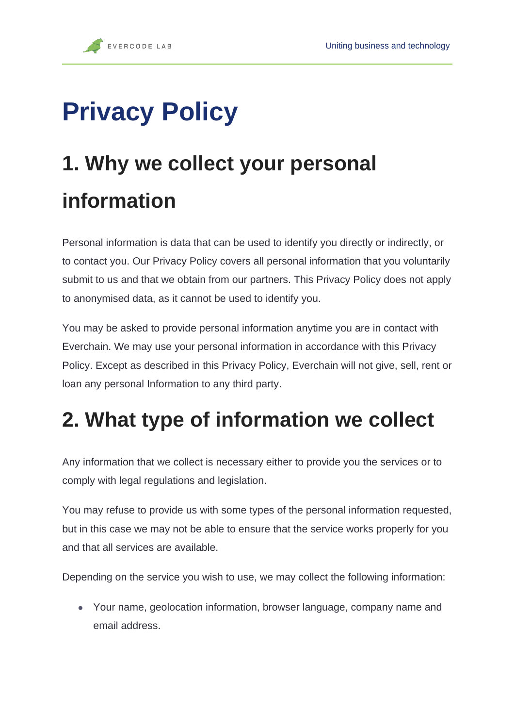# **Privacy Policy**

## **1. Why we collect your personal information**

Personal information is data that can be used to identify you directly or indirectly, or to contact you. Our Privacy Policy covers all personal information that you voluntarily submit to us and that we obtain from our partners. This Privacy Policy does not apply to anonymised data, as it cannot be used to identify you.

You may be asked to provide personal information anytime you are in contact with Everchain. We may use your personal information in accordance with this Privacy Policy. Except as described in this Privacy Policy, Everchain will not give, sell, rent or loan any personal Information to any third party.

#### **2. What type of information we collect**

Any information that we collect is necessary either to provide you the services or to comply with legal regulations and legislation.

You may refuse to provide us with some types of the personal information requested, but in this case we may not be able to ensure that the service works properly for you and that all services are available.

Depending on the service you wish to use, we may collect the following information:

• Your name, geolocation information, browser language, company name and email address.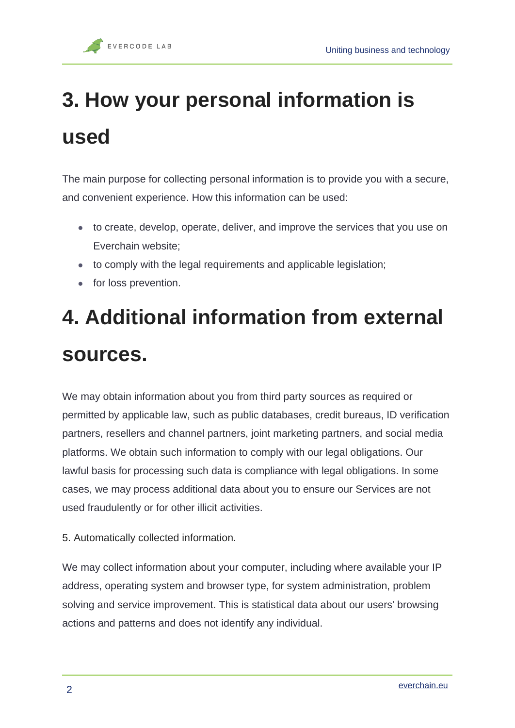# **3. How your personal information is used**

The main purpose for collecting personal information is to provide you with a secure, and convenient experience. How this information can be used:

- to create, develop, operate, deliver, and improve the services that you use on Everchain website;
- to comply with the legal requirements and applicable legislation;
- for loss prevention.

### **4. Additional information from external sources.**

We may obtain information about you from third party sources as required or permitted by applicable law, such as public databases, credit bureaus, ID verification partners, resellers and channel partners, joint marketing partners, and social media platforms. We obtain such information to comply with our legal obligations. Our lawful basis for processing such data is compliance with legal obligations. In some cases, we may process additional data about you to ensure our Services are not used fraudulently or for other illicit activities.

5. Automatically collected information.

We may collect information about your computer, including where available your IP address, operating system and browser type, for system administration, problem solving and service improvement. This is statistical data about our users' browsing actions and patterns and does not identify any individual.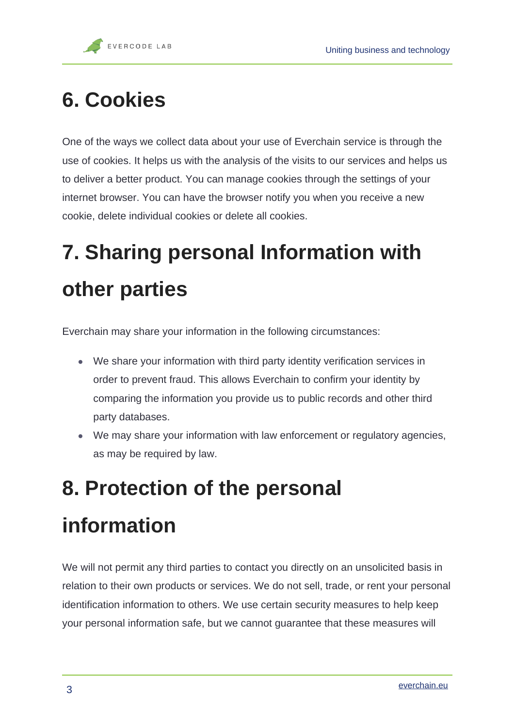#### **6. Cookies**

One of the ways we collect data about your use of Everchain service is through the use of cookies. It helps us with the analysis of the visits to our services and helps us to deliver a better product. You can manage cookies through the settings of your internet browser. You can have the browser notify you when you receive a new cookie, delete individual cookies or delete all cookies.

## **7. Sharing personal Information with other parties**

Everchain may share your information in the following circumstances:

- We share your information with third party identity verification services in order to prevent fraud. This allows Everchain to confirm your identity by comparing the information you provide us to public records and other third party databases.
- We may share your information with law enforcement or regulatory agencies, as may be required by law.

#### **8. Protection of the personal information**

We will not permit any third parties to contact you directly on an unsolicited basis in relation to their own products or services. We do not sell, trade, or rent your personal identification information to others. We use certain security measures to help keep your personal information safe, but we cannot guarantee that these measures will